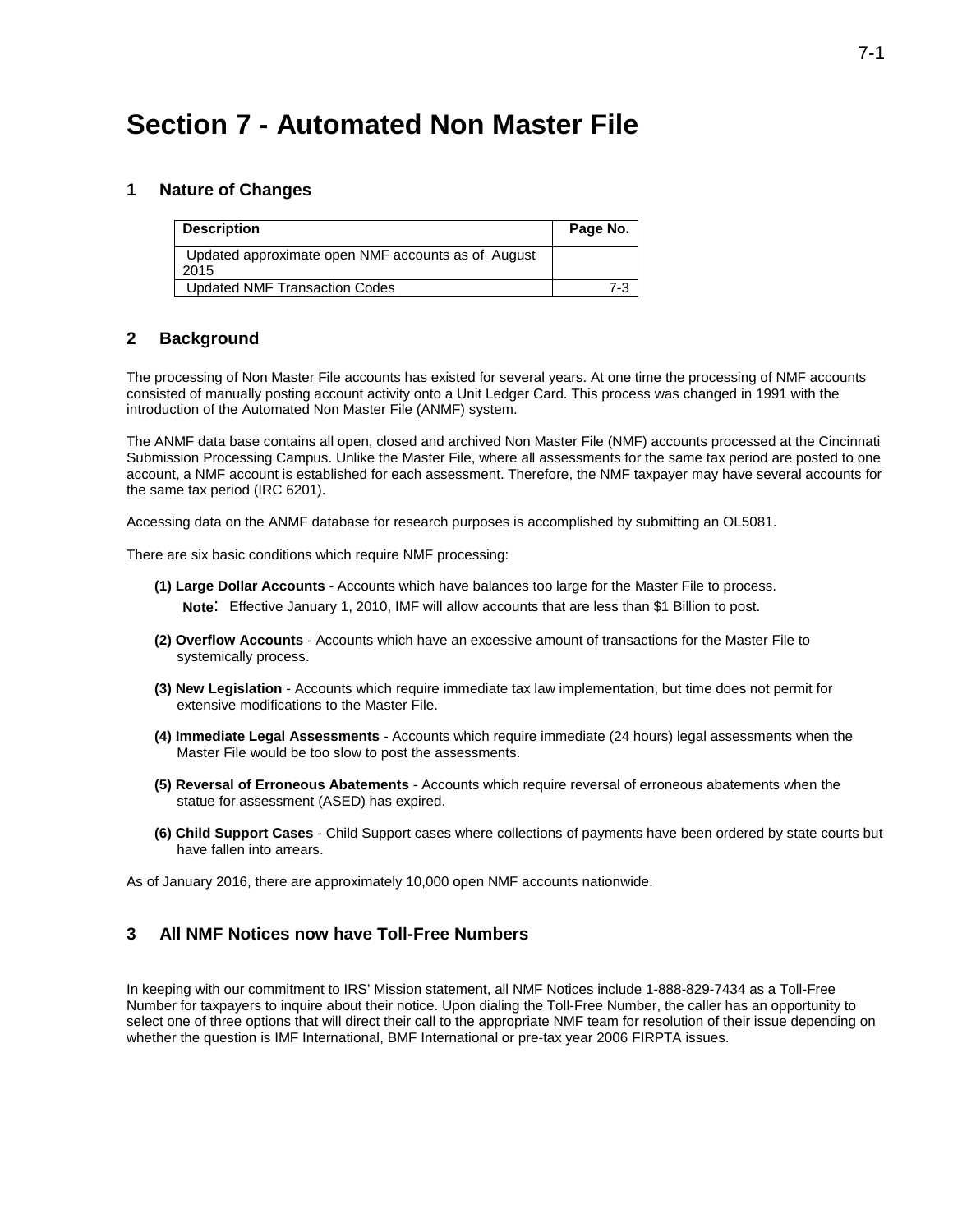# **Section 7 - Automated Non Master File**

#### **1 Nature of Changes**

| <b>Description</b>                                         | Page No. |
|------------------------------------------------------------|----------|
| Updated approximate open NMF accounts as of August<br>2015 |          |
| Updated NMF Transaction Codes                              | 7-3      |

#### **2 Background**

The processing of Non Master File accounts has existed for several years. At one time the processing of NMF accounts consisted of manually posting account activity onto a Unit Ledger Card. This process was changed in 1991 with the introduction of the Automated Non Master File (ANMF) system.

The ANMF data base contains all open, closed and archived Non Master File (NMF) accounts processed at the Cincinnati Submission Processing Campus. Unlike the Master File, where all assessments for the same tax period are posted to one account, a NMF account is established for each assessment. Therefore, the NMF taxpayer may have several accounts for the same tax period (IRC 6201).

Accessing data on the ANMF database for research purposes is accomplished by submitting an OL5081.

There are six basic conditions which require NMF processing:

- **(1) Large Dollar Accounts**  Accounts which have balances too large for the Master File to process. **Note**: Effective January 1, 2010, IMF will allow accounts that are less than \$1 Billion to post.
- **(2) Overflow Accounts**  Accounts which have an excessive amount of transactions for the Master File to systemically process.
- **(3) New Legislation**  Accounts which require immediate tax law implementation, but time does not permit for extensive modifications to the Master File.
- **(4) Immediate Legal Assessments**  Accounts which require immediate (24 hours) legal assessments when the Master File would be too slow to post the assessments.
- **(5) Reversal of Erroneous Abatements**  Accounts which require reversal of erroneous abatements when the statue for assessment (ASED) has expired.
- **(6) Child Support Cases**  Child Support cases where collections of payments have been ordered by state courts but have fallen into arrears.

As of January 2016, there are approximately 10,000 open NMF accounts nationwide.

#### **3 All NMF Notices now have Toll-Free Numbers**

In keeping with our commitment to IRS' Mission statement, all NMF Notices include 1-888-829-7434 as a Toll-Free Number for taxpayers to inquire about their notice. Upon dialing the Toll-Free Number, the caller has an opportunity to select one of three options that will direct their call to the appropriate NMF team for resolution of their issue depending on whether the question is IMF International, BMF International or pre-tax year 2006 FIRPTA issues.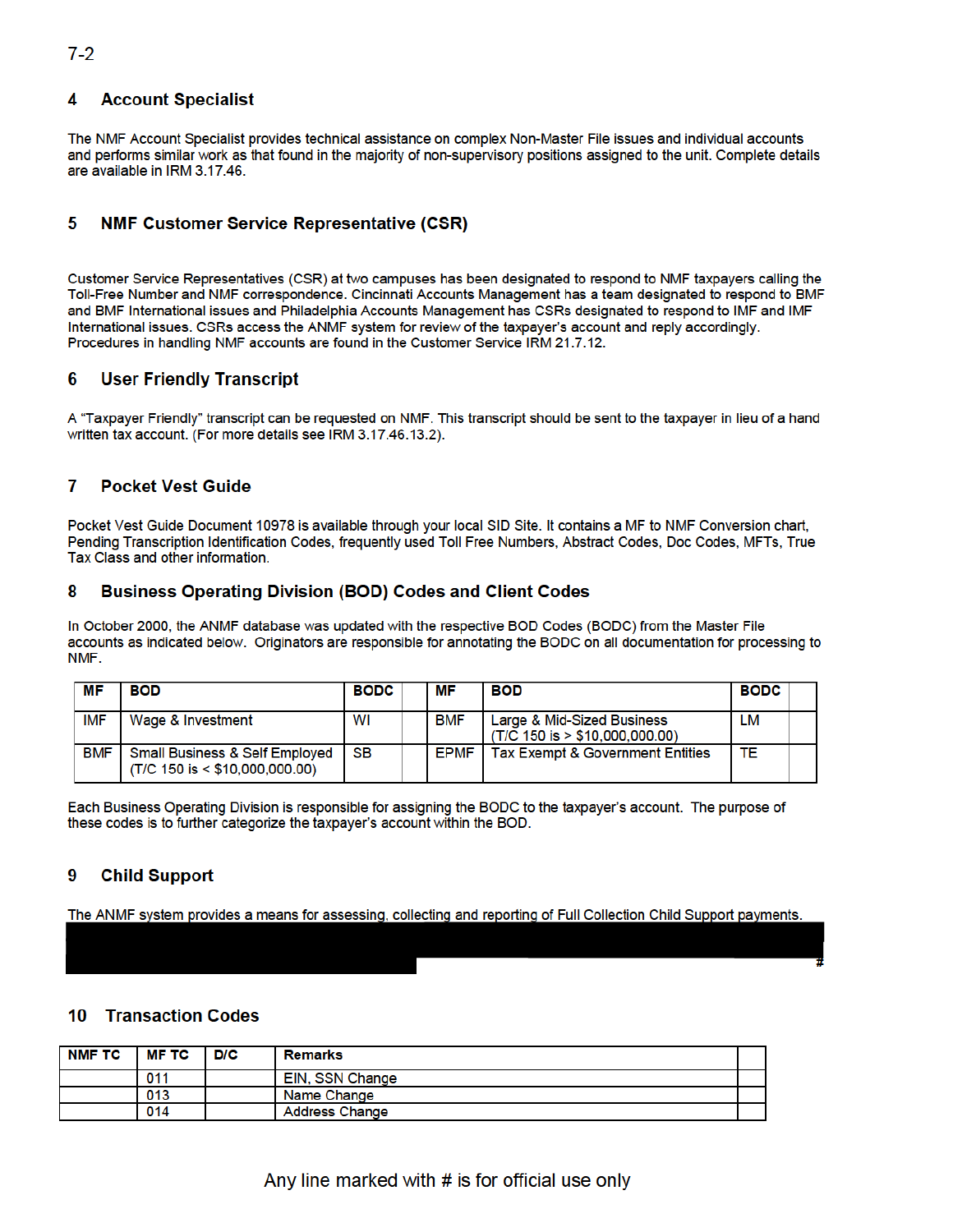### **4 Account Specialist**

The NMF Account Specialist provides technical assistance on complex Non-Master File issues and individual accounts and performs similar work as that found in the majority of non-supervisory positions assigned to the unit. Complete details are available in IRM 3.17.46.

# **5 NMF Customer Service Representative (CSR)**

Customer Service Representatives (CSR) at two campuses has been designated to respond to NMF taxpayers calling the Toll-Free Number and NMF correspondence. Cincinnati Accounts Management has a team designated to respond to BMF and BMF International issues and Philadelphia Accounts Management has CSRs designated to respond to IMF and IMF International issues. CSRs access the ANMF system for review of the taxpayer's account and reply accordingly. Procedures in handling NMF accounts are found in the Customer Service IRM 21.7.12.

### **6 User Friendly Transcript**

A "Taxpayer Friendly" transcript can be requested on NMF. This transcript should be sent to the taxpayer in lieu of a hand written tax account. (For more details see IRM 3.17.46.13.2).

### **7 Pocket Vest Guide**

Pocket Vest Guide Document 10978 is available through your local SID Site. It contains a MF to NMF Conversion chart, Pending Transcription Identification Codes, frequently used Toll Free Numbers, Abstract Codes, Doc Codes, MFTs, True Tax Class and other information.

### **8 Business Operating Division (BOD) Codes and Client Codes**

In October 2000, the ANMF database was updated with the respective BOD Codes (BODC) from the Master File accounts as indicated below. Originators are responsible for annotating the BODC on all documentation for processing to NMF.

| МF         | <b>BOD</b>                                                                         | <b>BODC</b> | МF          | <b>BOD</b>                                                     | <b>BODC</b> |  |
|------------|------------------------------------------------------------------------------------|-------------|-------------|----------------------------------------------------------------|-------------|--|
| <b>IMF</b> | Wage & Investment                                                                  | WI          | <b>BMF</b>  | Large & Mid-Sized Business<br>$(T/C 150$ is $> $10.000.000.00$ | LM          |  |
| <b>BMF</b> | <b>Small Business &amp; Self Employed</b><br>$(T/C 150$ is $\leq$ \$10,000,000.00) | <b>SB</b>   | <b>EPMF</b> | <b>Tax Exempt &amp; Government Entities</b>                    | ТΕ          |  |

Each Business Operating Division is responsible for assigning the BODC to the taxpayer's account. The purpose of these codes is to further categorize the taxpayer's account within the BOD.

# **9 Child Support**

The ANMF system provides a means for assessing, collecting and reporting of Full Collection Child Support payments. #

### **10 Transaction Codes**

| NMF TC | <b>MF TC</b> | D/C | <b>Remarks</b>         |  |
|--------|--------------|-----|------------------------|--|
|        | 011          |     | <b>EIN, SSN Change</b> |  |
|        | 013          |     | Name Change            |  |
|        | 014          |     | <b>Address Change</b>  |  |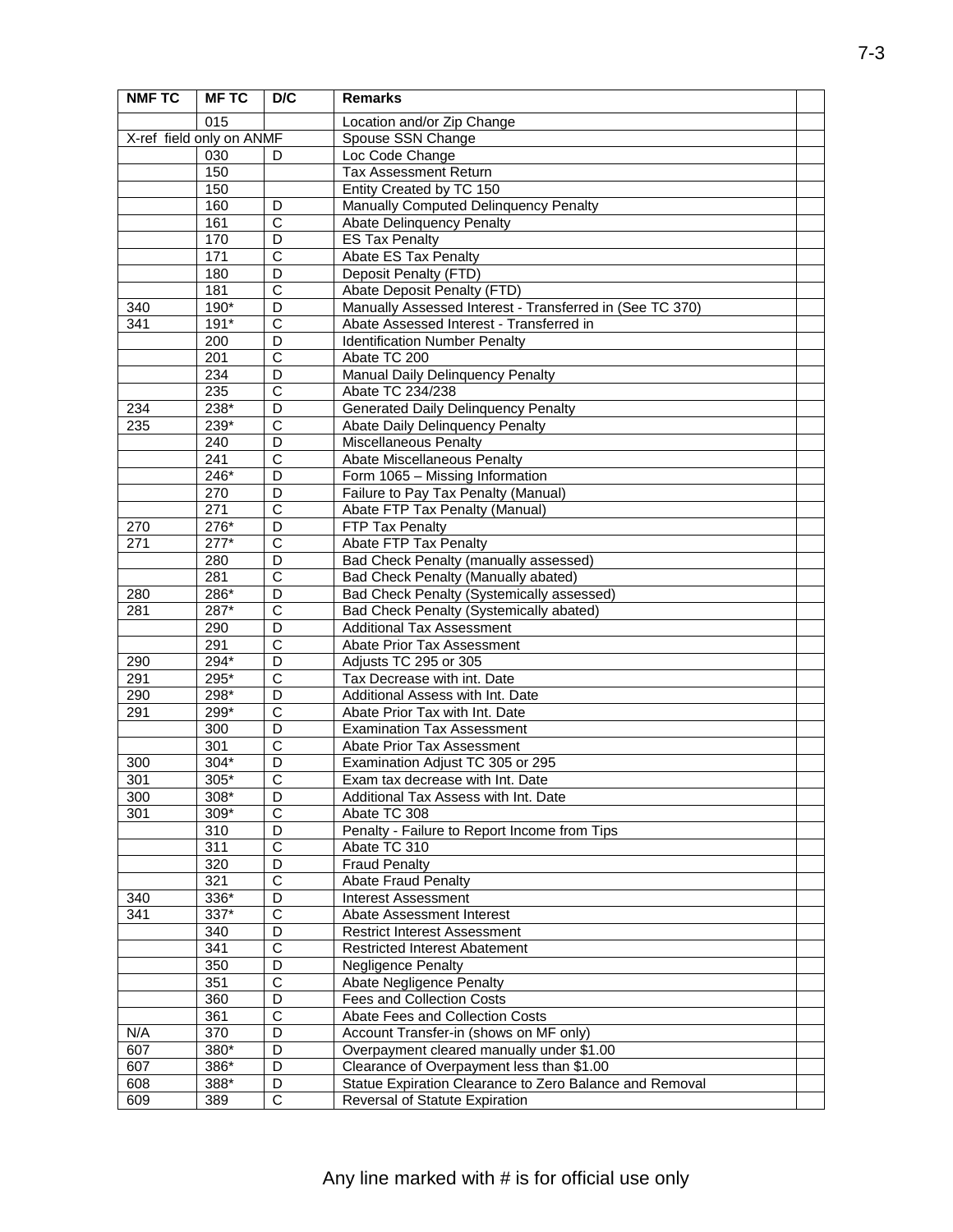| <b>NMF TC</b>            | <b>MFTC</b> | D/C                        | <b>Remarks</b>                                           |  |
|--------------------------|-------------|----------------------------|----------------------------------------------------------|--|
|                          | 015         |                            | Location and/or Zip Change                               |  |
| X-ref field only on ANMF |             |                            | Spouse SSN Change                                        |  |
|                          | 030         | D                          | Loc Code Change                                          |  |
|                          | 150         |                            | <b>Tax Assessment Return</b>                             |  |
|                          | 150         |                            | Entity Created by TC 150                                 |  |
|                          | 160         | D                          | Manually Computed Delinquency Penalty                    |  |
|                          | 161         | $\overline{C}$             | <b>Abate Delinquency Penalty</b>                         |  |
|                          | 170         | D                          | <b>ES Tax Penalty</b>                                    |  |
|                          | 171         | $\overline{\text{c}}$      | Abate ES Tax Penalty                                     |  |
|                          | 180         | D                          | Deposit Penalty (FTD)                                    |  |
|                          | 181         | $\overline{\text{c}}$      | Abate Deposit Penalty (FTD)                              |  |
| 340                      | 190*        | D                          | Manually Assessed Interest - Transferred in (See TC 370) |  |
| 341                      | $191*$      | $\overline{\text{c}}$      | Abate Assessed Interest - Transferred in                 |  |
|                          | 200         | D                          | <b>Identification Number Penalty</b>                     |  |
|                          | 201         | $\overline{\text{c}}$      | Abate TC 200                                             |  |
|                          | 234         | D                          | <b>Manual Daily Delinquency Penalty</b>                  |  |
|                          | 235         | $\overline{C}$             | Abate TC 234/238                                         |  |
| 234                      | 238*        | D                          | <b>Generated Daily Delinquency Penalty</b>               |  |
| 235                      | $239*$      | $\overline{\text{c}}$      | Abate Daily Delinquency Penalty                          |  |
|                          | 240         | D                          | Miscellaneous Penalty                                    |  |
|                          | 241         | $\overline{C}$             | <b>Abate Miscellaneous Penalty</b>                       |  |
|                          | 246*        | D                          | Form 1065 - Missing Information                          |  |
|                          | 270         | D                          |                                                          |  |
|                          | 271         | $\overline{\text{c}}$      | Failure to Pay Tax Penalty (Manual)                      |  |
|                          | $276*$      |                            | Abate FTP Tax Penalty (Manual)                           |  |
| 270                      |             | D<br>$\overline{\text{c}}$ | FTP Tax Penalty                                          |  |
| 271                      | $277*$      |                            | Abate FTP Tax Penalty                                    |  |
|                          | 280         | D                          | Bad Check Penalty (manually assessed)                    |  |
|                          | 281         | $\overline{\text{c}}$      | Bad Check Penalty (Manually abated)                      |  |
| 280                      | 286*        | D                          | Bad Check Penalty (Systemically assessed)                |  |
| 281                      | 287*        | $\overline{\text{c}}$      | Bad Check Penalty (Systemically abated)                  |  |
|                          | 290         | D                          | <b>Additional Tax Assessment</b>                         |  |
|                          | 291         | $\overline{\text{c}}$      | Abate Prior Tax Assessment                               |  |
| 290                      | 294*        | D                          | Adjusts TC 295 or 305                                    |  |
| 291                      | 295*        | $\overline{\text{c}}$      | Tax Decrease with int. Date                              |  |
| 290                      | 298*        | D                          | Additional Assess with Int. Date                         |  |
| 291                      | 299*        | $\overline{C}$             | Abate Prior Tax with Int. Date                           |  |
|                          | 300         | D                          | <b>Examination Tax Assessment</b>                        |  |
|                          | 301         | C                          | Abate Prior Tax Assessment                               |  |
| 300                      | $304*$      | D                          | Examination Adjust TC 305 or 295                         |  |
| $\overline{301}$         | $305*$      | $\overline{\text{c}}$      | Exam tax decrease with Int. Date                         |  |
| 300                      | 308*        | D                          | Additional Tax Assess with Int. Date                     |  |
| 301                      | 309*        | $\overline{\text{c}}$      | Abate TC 308                                             |  |
|                          | 310         | D                          | Penalty - Failure to Report Income from Tips             |  |
|                          | 311         | $\overline{\text{c}}$      | Abate TC 310                                             |  |
|                          | 320         | $\overline{D}$             | <b>Fraud Penalty</b>                                     |  |
|                          | 321         | $\overline{\text{c}}$      | <b>Abate Fraud Penalty</b>                               |  |
| 340                      | $336*$      | $\overline{D}$             | <b>Interest Assessment</b>                               |  |
| 341                      | 337*        | C                          | Abate Assessment Interest                                |  |
|                          | 340         | D                          | <b>Restrict Interest Assessment</b>                      |  |
|                          | 341         | $\overline{\text{c}}$      | <b>Restricted Interest Abatement</b>                     |  |
|                          | 350         | $\overline{D}$             | <b>Negligence Penalty</b>                                |  |
|                          | 351         | $\overline{\text{c}}$      | <b>Abate Negligence Penalty</b>                          |  |
|                          | 360         | D                          | <b>Fees and Collection Costs</b>                         |  |
|                          | 361         | $\overline{C}$             | Abate Fees and Collection Costs                          |  |
| N/A                      | 370         | D                          | Account Transfer-in (shows on MF only)                   |  |
| 607                      | 380*        | D                          | Overpayment cleared manually under \$1.00                |  |
| 607                      | 386*        | D                          | Clearance of Overpayment less than \$1.00                |  |
| 608                      | 388*        | D                          | Statue Expiration Clearance to Zero Balance and Removal  |  |
| 609                      | 389         | $\mathsf C$                | Reversal of Statute Expiration                           |  |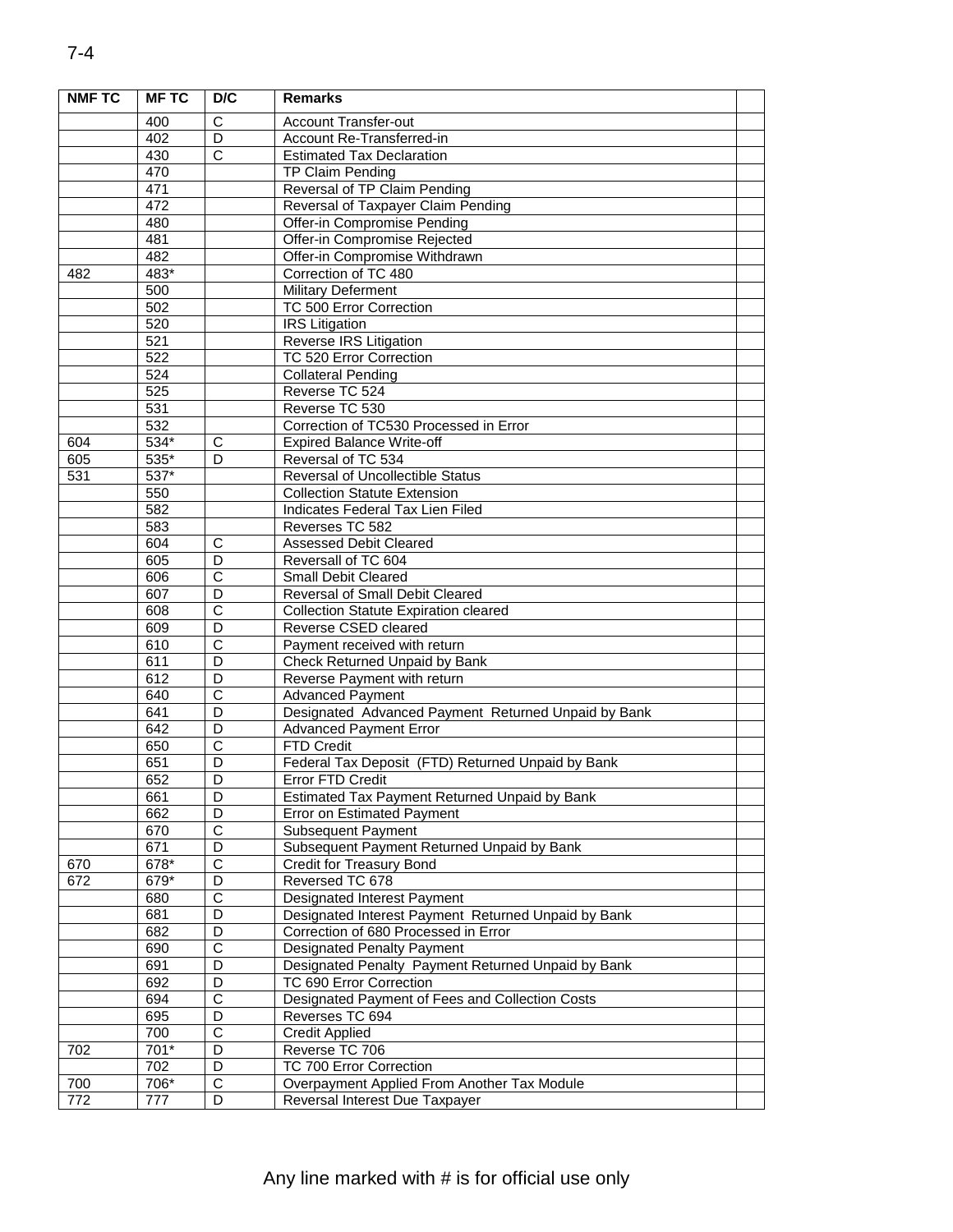| <b>NMF TC</b> | <b>MFTC</b>        | D/C                        | <b>Remarks</b>                                                         |  |
|---------------|--------------------|----------------------------|------------------------------------------------------------------------|--|
|               | 400                | C                          | <b>Account Transfer-out</b>                                            |  |
|               | 402                | D                          | Account Re-Transferred-in                                              |  |
|               | 430                | $\overline{c}$             | <b>Estimated Tax Declaration</b>                                       |  |
|               | 470                |                            | <b>TP Claim Pending</b>                                                |  |
|               | 471                |                            | Reversal of TP Claim Pending                                           |  |
|               | 472                |                            | Reversal of Taxpayer Claim Pending                                     |  |
|               | 480                |                            | Offer-in Compromise Pending                                            |  |
|               | 481                |                            | Offer-in Compromise Rejected                                           |  |
|               | 482                |                            | Offer-in Compromise Withdrawn                                          |  |
| 482           | 483*               |                            | Correction of TC 480                                                   |  |
|               | 500                |                            | <b>Military Deferment</b>                                              |  |
|               | 502                |                            | TC 500 Error Correction                                                |  |
|               | 520                |                            | <b>IRS</b> Litigation                                                  |  |
|               | 521                |                            | Reverse IRS Litigation                                                 |  |
|               | 522                |                            | TC 520 Error Correction                                                |  |
|               | 524                |                            | <b>Collateral Pending</b>                                              |  |
|               | 525                |                            | Reverse TC 524                                                         |  |
|               | 531                |                            | Reverse TC 530                                                         |  |
|               | 532                |                            | Correction of TC530 Processed in Error                                 |  |
| 604           | $534*$             | $\overline{C}$             | <b>Expired Balance Write-off</b>                                       |  |
| 605           | 535*               | D                          | Reversal of TC 534                                                     |  |
| 531           | $\overline{537}$ * |                            | <b>Reversal of Uncollectible Status</b>                                |  |
|               | 550                |                            | <b>Collection Statute Extension</b>                                    |  |
|               | 582                |                            | Indicates Federal Tax Lien Filed                                       |  |
|               | 583                |                            | Reverses TC 582                                                        |  |
|               | 604                | $\overline{C}$             | <b>Assessed Debit Cleared</b>                                          |  |
|               | 605                | D                          | Reversall of TC 604                                                    |  |
|               | 606                | C                          | <b>Small Debit Cleared</b>                                             |  |
|               | 607                | D                          | Reversal of Small Debit Cleared                                        |  |
|               | 608                | $\overline{\text{c}}$      | <b>Collection Statute Expiration cleared</b>                           |  |
|               | 609                | D                          | Reverse CSED cleared                                                   |  |
|               | 610                | $\overline{C}$             | Payment received with return                                           |  |
|               | 611                | D                          | Check Returned Unpaid by Bank                                          |  |
|               | 612                | D                          | Reverse Payment with return                                            |  |
|               | 640                | $\overline{\text{c}}$      | <b>Advanced Payment</b>                                                |  |
|               | 641                | D                          | Designated Advanced Payment Returned Unpaid by Bank                    |  |
|               | 642                | D                          | <b>Advanced Payment Error</b>                                          |  |
|               | 650                | $\overline{C}$             | <b>FTD Credit</b>                                                      |  |
|               | 651                | D                          | Federal Tax Deposit (FTD) Returned Unpaid by Bank                      |  |
|               | 652                | $\overline{D}$             | <b>Error FTD Credit</b>                                                |  |
|               | 661                | D<br>D                     | Estimated Tax Payment Returned Unpaid by Bank                          |  |
|               | 662                |                            | <b>Error on Estimated Payment</b>                                      |  |
|               | 670                | $\mathbf C$                | Subsequent Payment                                                     |  |
|               | 671<br>678*        | D<br>$\overline{\text{c}}$ | Subsequent Payment Returned Unpaid by Bank<br>Credit for Treasury Bond |  |
| 670<br>672    | 679*               | D                          | Reversed TC 678                                                        |  |
|               | 680                | $\overline{\text{c}}$      | Designated Interest Payment                                            |  |
|               | 681                | D                          | Designated Interest Payment Returned Unpaid by Bank                    |  |
|               | 682                | D                          | Correction of 680 Processed in Error                                   |  |
|               | 690                | $\overline{\text{c}}$      | <b>Designated Penalty Payment</b>                                      |  |
|               | 691                | D                          | Designated Penalty Payment Returned Unpaid by Bank                     |  |
|               | 692                | D                          | TC 690 Error Correction                                                |  |
|               | 694                | $\overline{C}$             | Designated Payment of Fees and Collection Costs                        |  |
|               | 695                | D                          | Reverses TC 694                                                        |  |
|               | 700                | $\overline{\text{c}}$      | <b>Credit Applied</b>                                                  |  |
| 702           | 701*               | D                          | Reverse TC 706                                                         |  |
|               | 702                | D                          | TC 700 Error Correction                                                |  |
| 700           | 706*               | $\overline{C}$             | Overpayment Applied From Another Tax Module                            |  |
| 772           | 777                | D                          | Reversal Interest Due Taxpayer                                         |  |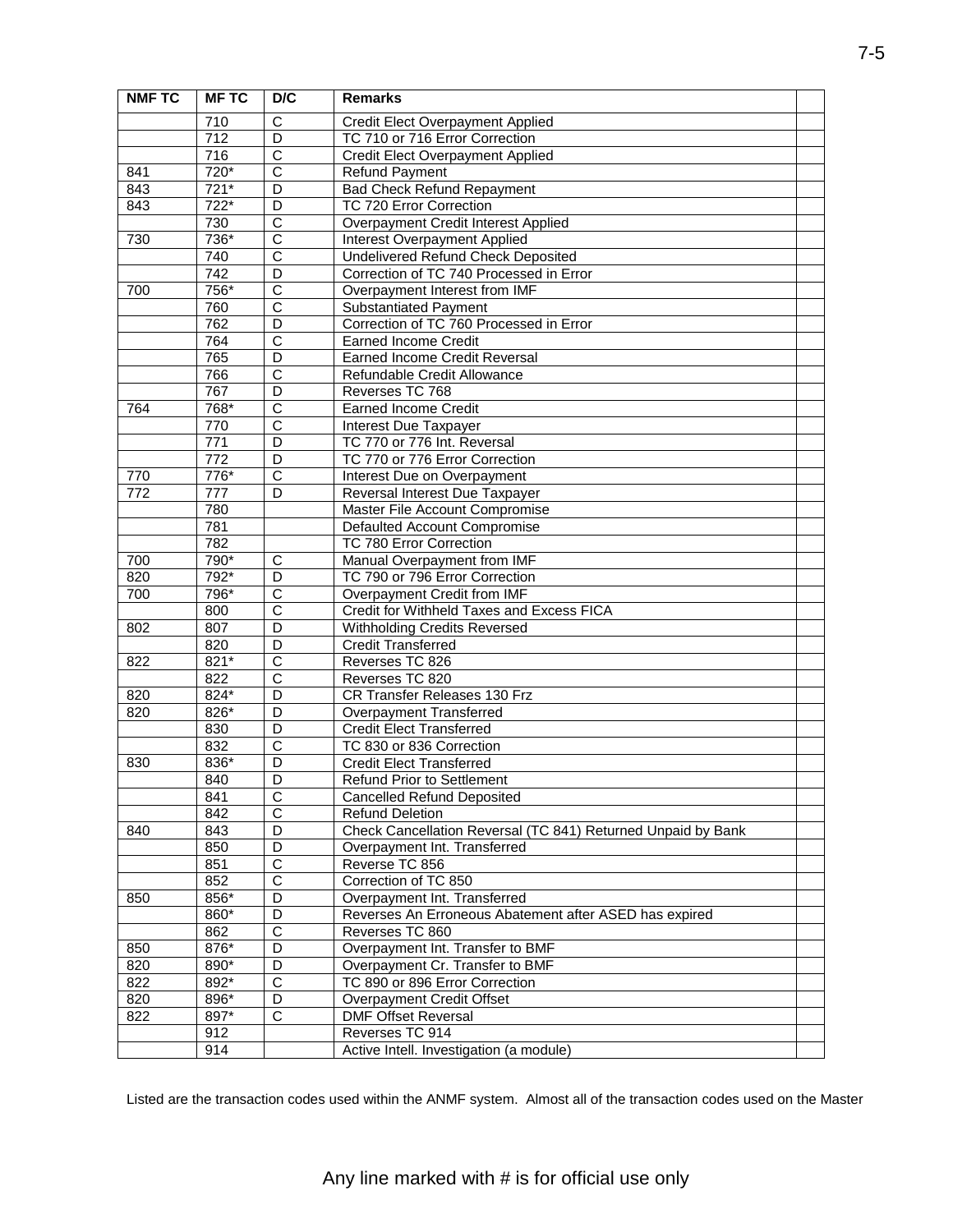| <b>NMF TC</b> | <b>MFTC</b>      | D/C                     | <b>Remarks</b>                                                    |  |
|---------------|------------------|-------------------------|-------------------------------------------------------------------|--|
|               | 710              | С                       | Credit Elect Overpayment Applied                                  |  |
|               | $\overline{712}$ | D                       | TC 710 or 716 Error Correction                                    |  |
|               | 716              | $\overline{\text{c}}$   | Credit Elect Overpayment Applied                                  |  |
| 841           | $720*$           | $\overline{\text{c}}$   | <b>Refund Payment</b>                                             |  |
| 843           | 721*             | D                       | <b>Bad Check Refund Repayment</b>                                 |  |
| 843           | $722*$           | D                       | TC 720 Error Correction                                           |  |
|               | 730              | C                       | Overpayment Credit Interest Applied                               |  |
| 730           | $736*$           | $\overline{\text{c}}$   | Interest Overpayment Applied                                      |  |
|               | 740              | $\overline{\text{c}}$   | Undelivered Refund Check Deposited                                |  |
|               | 742              | D                       | Correction of TC 740 Processed in Error                           |  |
| 700           | 756*             | $\overline{C}$          | Overpayment Interest from IMF                                     |  |
|               | 760              | $\overline{C}$          | <b>Substantiated Payment</b>                                      |  |
|               | 762              | $\overline{D}$          | Correction of TC 760 Processed in Error                           |  |
|               | 764              | $\overline{\text{c}}$   | <b>Earned Income Credit</b>                                       |  |
|               | 765              | $\overline{D}$          | <b>Earned Income Credit Reversal</b>                              |  |
|               | 766              | $\overline{C}$          | Refundable Credit Allowance                                       |  |
|               | 767              | D                       | Reverses TC 768                                                   |  |
| 764           | 768*             | $\overline{\text{c}}$   | <b>Earned Income Credit</b>                                       |  |
|               | 770              | $\overline{\text{c}}$   | Interest Due Taxpayer                                             |  |
|               | 771              | D                       | TC 770 or 776 Int. Reversal                                       |  |
|               | 772              | D                       | TC 770 or 776 Error Correction                                    |  |
| 770           | 776*             | C                       | Interest Due on Overpayment                                       |  |
| 772           | 777              | D                       | Reversal Interest Due Taxpayer                                    |  |
|               | 780              |                         | Master File Account Compromise                                    |  |
|               | 781              |                         | Defaulted Account Compromise                                      |  |
|               | 782              |                         | TC 780 Error Correction                                           |  |
| 700           | 790*             | С                       | Manual Overpayment from IMF                                       |  |
| 820           | 792*             | D                       | TC 790 or 796 Error Correction                                    |  |
| 700           | 796*             | $\overline{\text{c}}$   | Overpayment Credit from IMF                                       |  |
|               | 800              | $\overline{\text{c}}$   | Credit for Withheld Taxes and Excess FICA                         |  |
| 802           | 807              | D                       | <b>Withholding Credits Reversed</b>                               |  |
|               | 820              | D                       | <b>Credit Transferred</b>                                         |  |
| 822           | 821*             | C                       | Reverses TC 826                                                   |  |
|               | 822              | $\overline{\text{c}}$   | Reverses TC 820                                                   |  |
| 820           | $824*$           | $\overline{D}$          | CR Transfer Releases 130 Frz                                      |  |
| 820           | 826*             | D                       | Overpayment Transferred                                           |  |
|               | 830              | D                       | <b>Credit Elect Transferred</b>                                   |  |
|               | 832              | C                       | TC 830 or 836 Correction                                          |  |
| 830           | 836*             | D                       | <b>Credit Elect Transferred</b>                                   |  |
|               | 840              | $\overline{D}$          | <b>Refund Prior to Settlement</b>                                 |  |
|               | 841              | C                       | <b>Cancelled Refund Deposited</b>                                 |  |
|               | 842              | $\overline{\text{c}}$   | <b>Refund Deletion</b>                                            |  |
| 840           | 843              | D                       | Check Cancellation Reversal (TC 841) Returned Unpaid by Bank      |  |
|               | 850              | D                       | Overpayment Int. Transferred                                      |  |
|               | 851              | $\overline{\text{c}}$   | Reverse TC 856                                                    |  |
|               | 852              | $\overline{\text{c}}$   | Correction of TC 850                                              |  |
| 850           | 856*             | D                       | Overpayment Int. Transferred                                      |  |
|               | 860*             | D                       | Reverses An Erroneous Abatement after ASED has expired            |  |
|               | 862              | $\overline{\mathsf{C}}$ | Reverses TC 860                                                   |  |
| 850           | 876*             | D<br>$\overline{D}$     | Overpayment Int. Transfer to BMF                                  |  |
| 820<br>822    | 890*<br>892*     | $\overline{C}$          | Overpayment Cr. Transfer to BMF<br>TC 890 or 896 Error Correction |  |
|               |                  |                         |                                                                   |  |
| 820<br>822    | 896*<br>897*     | D<br>$\overline{C}$     | Overpayment Credit Offset<br><b>DMF Offset Reversal</b>           |  |
|               | 912              |                         | Reverses TC 914                                                   |  |
|               | 914              |                         |                                                                   |  |
|               |                  |                         | Active Intell. Investigation (a module)                           |  |

Listed are the transaction codes used within the ANMF system. Almost all of the transaction codes used on the Master